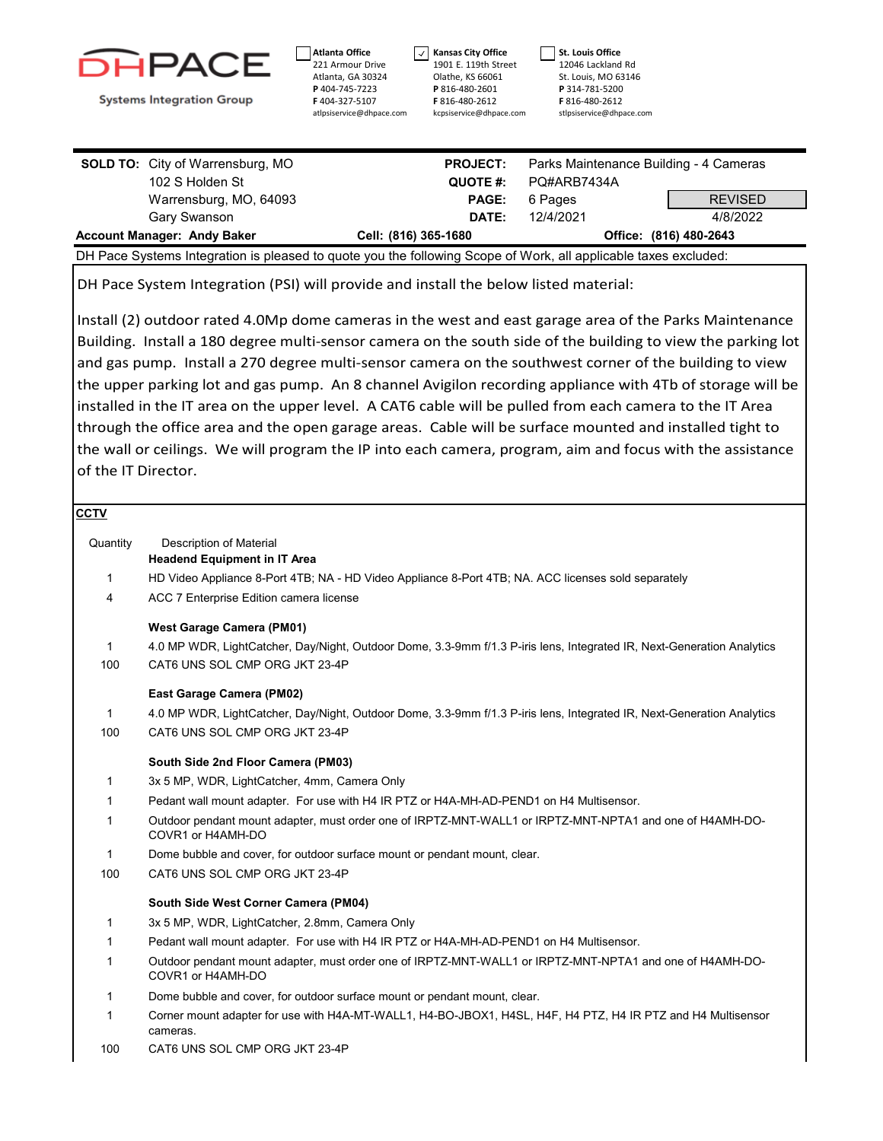

221 Armour Drive Atlanta, GA 30324 **P** 404-745-7223 **F** 404-327-5107 atlpsiservice@dhpace.com

**Atlanta Office**

**Kansas City Office** 1901 E. 119th Street Olathe, KS 66061 **P** 816-480-2601 **F** 816-480-2612 kcpsiservice@dhpace.com **St. Louis Office** 12046 Lackland Rd St. Louis, MO 63146 **P** 314-781-5200 **F** 816-480-2612 stlpsiservice@dhpace.com

 $\sqrt{ }$ 

| <b>Account Manager: Andy Baker</b>      |                        | Cell: (816) 365-1680 |                                        |                |
|-----------------------------------------|------------------------|----------------------|----------------------------------------|----------------|
|                                         |                        |                      | Office: (816) 480-2643                 |                |
| Gary Swanson                            |                        | DATE:                | 12/4/2021                              | 4/8/2022       |
|                                         | Warrensburg, MO, 64093 | <b>PAGE:</b>         | 6 Pages                                | <b>REVISED</b> |
|                                         | 102 S Holden St        | QUOTE #:             | PO#ARB7434A                            |                |
| <b>SOLD TO:</b> City of Warrensburg, MO |                        | <b>PROJECT:</b>      | Parks Maintenance Building - 4 Cameras |                |

DH Pace System Integration (PSI) will provide and install the below listed material:

Install (2) outdoor rated 4.0Mp dome cameras in the west and east garage area of the Parks Maintenance Building. Install a 180 degree multi-sensor camera on the south side of the building to view the parking lot and gas pump. Install a 270 degree multi-sensor camera on the southwest corner of the building to view the upper parking lot and gas pump. An 8 channel Avigilon recording appliance with 4Tb of storage will be installed in the IT area on the upper level. A CAT6 cable will be pulled from each camera to the IT Area through the office area and the open garage areas. Cable will be surface mounted and installed tight to the wall or ceilings. We will program the IP into each camera, program, aim and focus with the assistance of the IT Director.

| сстv         |                                                                                                                               |
|--------------|-------------------------------------------------------------------------------------------------------------------------------|
| Quantity     | <b>Description of Material</b>                                                                                                |
|              | <b>Headend Equipment in IT Area</b>                                                                                           |
| $\mathbf{1}$ | HD Video Appliance 8-Port 4TB; NA - HD Video Appliance 8-Port 4TB; NA. ACC licenses sold separately                           |
| 4            | ACC 7 Enterprise Edition camera license                                                                                       |
|              | <b>West Garage Camera (PM01)</b>                                                                                              |
| $\mathbf{1}$ | 4.0 MP WDR, LightCatcher, Day/Night, Outdoor Dome, 3.3-9mm f/1.3 P-iris lens, Integrated IR, Next-Generation Analytics        |
| 100          | CAT6 UNS SOL CMP ORG JKT 23-4P                                                                                                |
|              | East Garage Camera (PM02)                                                                                                     |
| 1            | 4.0 MP WDR, LightCatcher, Day/Night, Outdoor Dome, 3.3-9mm f/1.3 P-iris lens, Integrated IR, Next-Generation Analytics        |
| 100          | CAT6 UNS SOL CMP ORG JKT 23-4P                                                                                                |
|              | South Side 2nd Floor Camera (PM03)                                                                                            |
| 1            | 3x 5 MP, WDR, LightCatcher, 4mm, Camera Only                                                                                  |
| 1            | Pedant wall mount adapter. For use with H4 IR PTZ or H4A-MH-AD-PEND1 on H4 Multisensor.                                       |
| 1            | Outdoor pendant mount adapter, must order one of IRPTZ-MNT-WALL1 or IRPTZ-MNT-NPTA1 and one of H4AMH-DO-<br>COVR1 or H4AMH-DO |
| $\mathbf{1}$ | Dome bubble and cover, for outdoor surface mount or pendant mount, clear.                                                     |
| 100          | CAT6 UNS SOL CMP ORG JKT 23-4P                                                                                                |
|              | South Side West Corner Camera (PM04)                                                                                          |
| 1            | 3x 5 MP, WDR, LightCatcher, 2.8mm, Camera Only                                                                                |
| 1            | Pedant wall mount adapter. For use with H4 IR PTZ or H4A-MH-AD-PEND1 on H4 Multisensor.                                       |
| 1            | Outdoor pendant mount adapter, must order one of IRPTZ-MNT-WALL1 or IRPTZ-MNT-NPTA1 and one of H4AMH-DO-<br>COVR1 or H4AMH-DO |
| 1            | Dome bubble and cover, for outdoor surface mount or pendant mount, clear.                                                     |
| 1            | Corner mount adapter for use with H4A-MT-WALL1, H4-BO-JBOX1, H4SL, H4F, H4 PTZ, H4 IR PTZ and H4 Multisensor<br>cameras.      |
| 100          | CAT6 UNS SOL CMP ORG JKT 23-4P                                                                                                |
|              |                                                                                                                               |